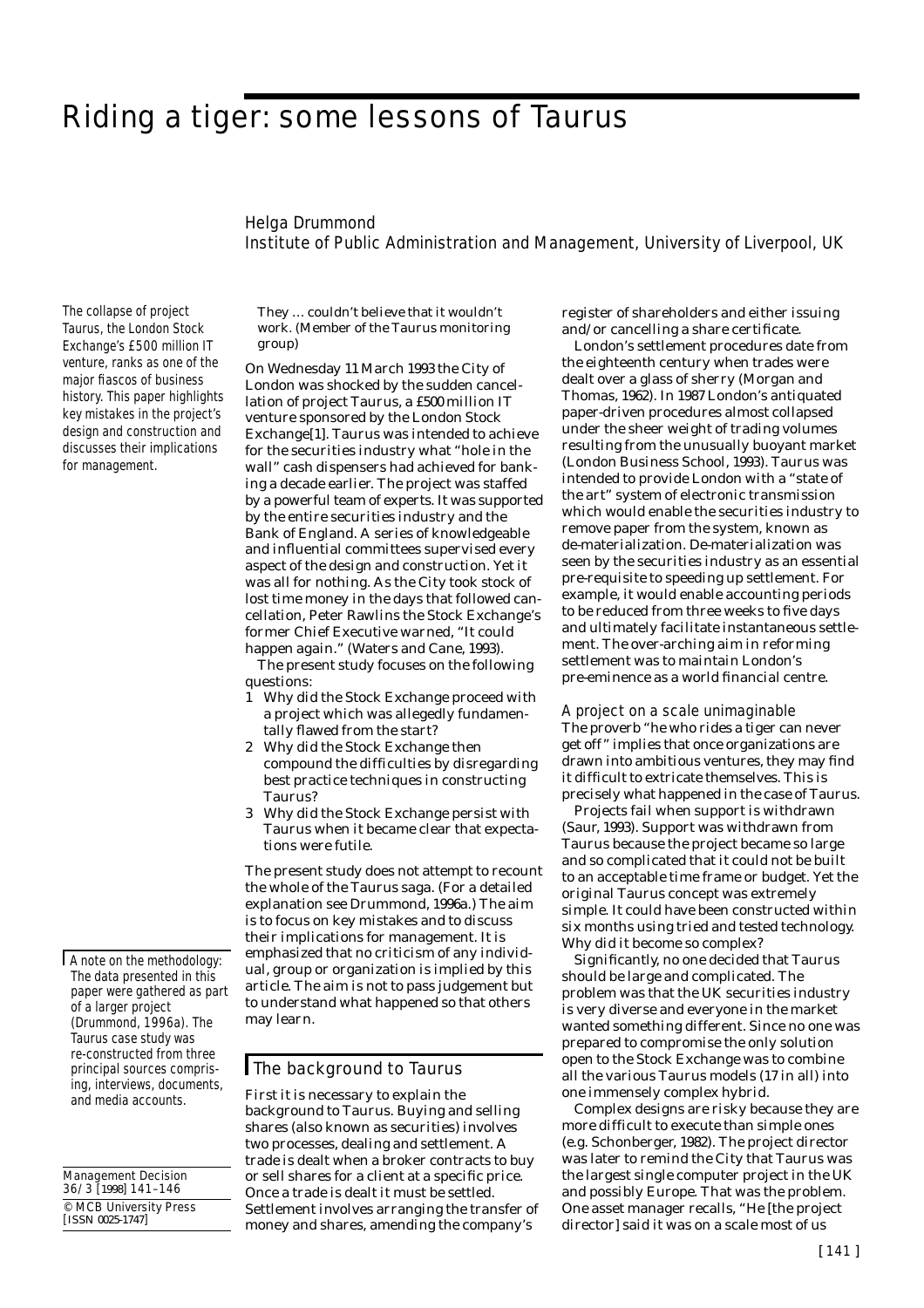# Riding a tiger: some lessons of Taurus

## Helga Drummond

Institute of Public Administration and Management, University of Liverpool, UK

The collapse of project Taurus, the London Stock Exchange's £500 million IT venture, ranks as one of the major fiascos of business history. This paper highlights key mistakes in the project's design and construction and discusses their implications for management.

A note on the methodology: The data presented in this paper were gathered as part of a larger project (Drummond, 1996a). The Taurus case study was re-constructed from three principal sources comprising, interviews, documents, and media accounts.

Management Decision 36/3 [1998] 141–146 © MCB University Press [ISSN 0025-1747]

They … couldn't believe that it wouldn't work. (Member of the Taurus monitoring group)

On Wednesday 11 March 1993 the City of London was shocked by the sudden cancellation of project Taurus, a £500 million IT venture sponsored by the London Stock Exchange[1]. Taurus was intended to achieve for the securities industry what "hole in the wall" cash dispensers had achieved for banking a decade earlier. The project was staffed by a powerful team of experts. It was supported by the entire securities industry and the Bank of England. A series of knowledgeable and influential committees supervised every aspect of the design and construction. Yet it was all for nothing. As the City took stock of lost time money in the days that followed cancellation, Peter Rawlins the Stock Exchange's former Chief Executive warned, "It could happen again." (Waters and Cane, 1993).

The present study focuses on the following questions:

- 1 Why did the Stock Exchange proceed with a project which was allegedly fundamentally flawed from the start?
- 2 Why did the Stock Exchange then compound the difficulties by disregarding best practice techniques in constructing Taurus?
- 3 Why did the Stock Exchange persist with Taurus when it became clear that expectations were futile.

The present study does not attempt to recount the whole of the Taurus saga. (For a detailed explanation see Drummond, 1996a.) The aim is to focus on key mistakes and to discuss their implications for management. It is emphasized that no criticism of any individual, group or organization is implied by this article. The aim is not to pass judgement but to understand what happened so that others may learn.

## **The background to Taurus**

First it is necessary to explain the background to Taurus. Buying and selling shares (also known as securities) involves two processes, dealing and settlement. A trade is dealt when a broker contracts to buy or sell shares for a client at a specific price. Once a trade is dealt it must be settled. Settlement involves arranging the transfer of money and shares, amending the company's

register of shareholders and either issuing and/or cancelling a share certificate.

London's settlement procedures date from the eighteenth century when trades were dealt over a glass of sherry (Morgan and Thomas, 1962). In 1987 London's antiquated paper-driven procedures almost collapsed under the sheer weight of trading volumes resulting from the unusually buoyant market (London Business School, 1993). Taurus was intended to provide London with a "state of the art" system of electronic transmission which would enable the securities industry to remove paper from the system, known as de-materialization. De-materialization was seen by the securities industry as an essential pre-requisite to speeding up settlement. For example, it would enable accounting periods to be reduced from three weeks to five days and ultimately facilitate instantaneous settlement. The over-arching aim in reforming settlement was to maintain London's pre-eminence as a world financial centre.

#### A project on a scale unimaginable

The proverb "he who rides a tiger can never get off" implies that once organizations are drawn into ambitious ventures, they may find it difficult to extricate themselves. This is precisely what happened in the case of Taurus.

Projects fail when support is withdrawn (Saur, 1993). Support was withdrawn from Taurus because the project became so large and so complicated that it could not be built to an acceptable time frame or budget. Yet the original Taurus concept was extremely simple. It could have been constructed within six months using tried and tested technology. Why did it become so complex?

Significantly, no one decided that Taurus should be large and complicated. The problem was that the UK securities industry is very diverse and everyone in the market wanted something different. Since no one was prepared to compromise the only solution open to the Stock Exchange was to combine all the various Taurus models (17 in all) into one immensely complex hybrid.

Complex designs are risky because they are more difficult to execute than simple ones (e.g. Schonberger, 1982). The project director was later to remind the City that Taurus was the largest single computer project in the UK and possibly Europe. That was the problem. One asset manager recalls, "He [the project director] said it was on a scale most of us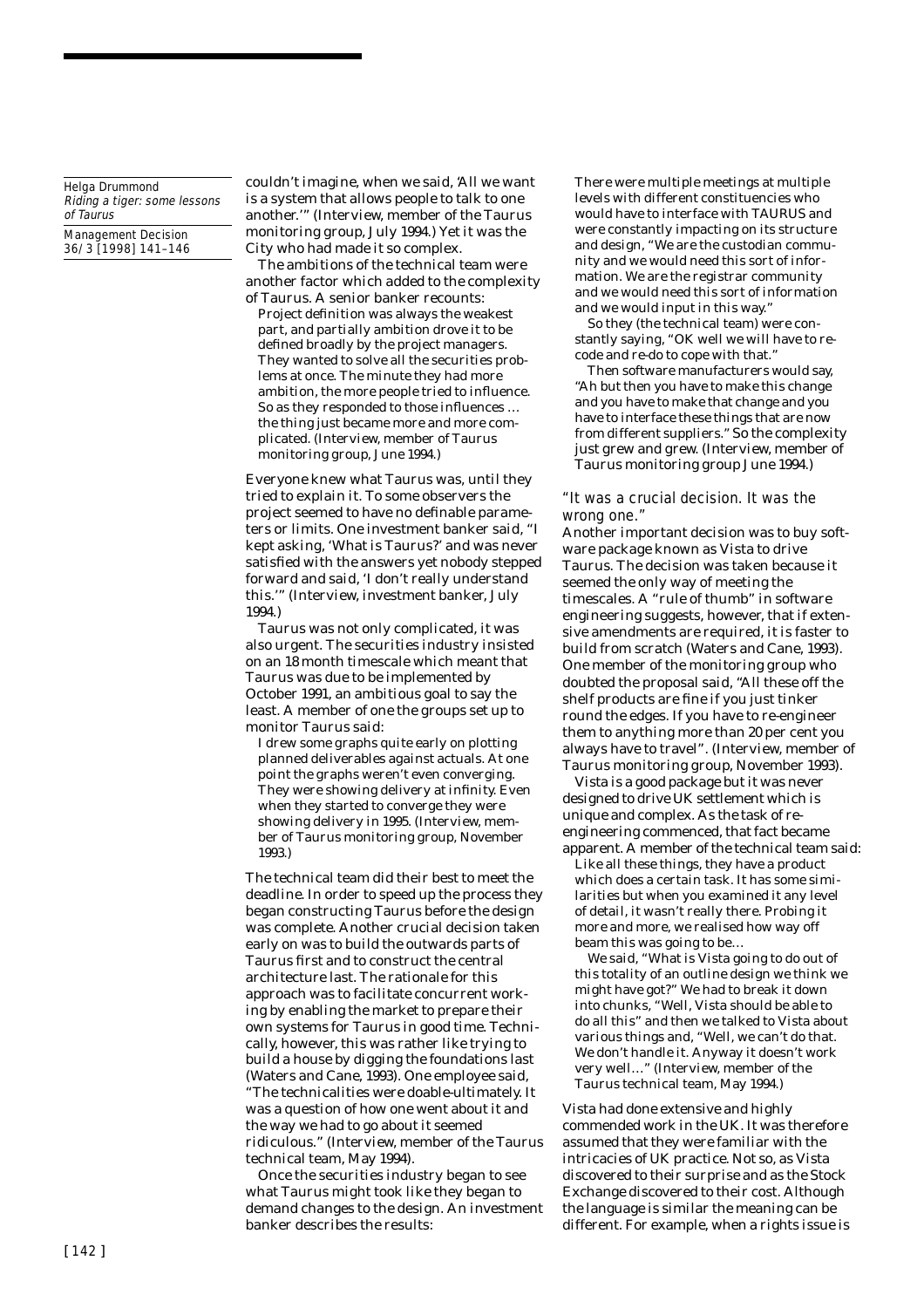Helga Drummond Riding a tiger: some lessons of Taurus Management Decision 36/3 [1998] 141–146

couldn't imagine, when we said, 'All we want is a system that allows people to talk to one another.'" (Interview, member of the Taurus monitoring group, July 1994.) Yet it was the City who had made it so complex.

The ambitions of the technical team were another factor which added to the complexity of Taurus. A senior banker recounts:

Project definition was always the weakest part, and partially ambition drove it to be defined broadly by the project managers. They wanted to solve all the securities problems at once. The minute they had more ambition, the more people tried to influence. So as they responded to those influences … the thing just became more and more complicated. (Interview, member of Taurus monitoring group, June 1994.)

Everyone knew what Taurus was, until they tried to explain it. To some observers the project seemed to have no definable parameters or limits. One investment banker said, "I kept asking, 'What is Taurus?' and was never satisfied with the answers yet nobody stepped forward and said, 'I don't really understand this.'" (Interview, investment banker, July 1994.)

Taurus was not only complicated, it was also urgent. The securities industry insisted on an 18 month timescale which meant that Taurus was due to be implemented by October 1991, an ambitious goal to say the least. A member of one the groups set up to monitor Taurus said:

I drew some graphs quite early on plotting planned deliverables against actuals. At one point the graphs weren't even converging. They were showing delivery at infinity. Even when they started to converge they were showing delivery in 1995. (Interview, member of Taurus monitoring group, November 1993.)

The technical team did their best to meet the deadline. In order to speed up the process they began constructing Taurus before the design was complete. Another crucial decision taken early on was to build the outwards parts of Taurus first and to construct the central architecture last. The rationale for this approach was to facilitate concurrent working by enabling the market to prepare their own systems for Taurus in good time. Technically, however, this was rather like trying to build a house by digging the foundations last (Waters and Cane, 1993). One employee said, "The technicalities were doable-ultimately. It was a question of how one went about it and the way we had to go about it seemed ridiculous." (Interview, member of the Taurus technical team, May 1994).

Once the securities industry began to see what Taurus might took like they began to demand changes to the design. An investment banker describes the results:

There were multiple meetings at multiple levels with different constituencies who would have to interface with TAURUS and were constantly impacting on its structure and design, "We are the custodian community and we would need this sort of information. We are the registrar community and we would need this sort of information and we would input in this way."

So they (the technical team) were constantly saying, "OK well we will have to recode and re-do to cope with that."

Then software manufacturers would say, "Ah but then you have to make this change and you have to make that change and you have to interface these things that are now from different suppliers." So the complexity just grew and grew. (Interview, member of Taurus monitoring group June 1994.)

#### "It was a crucial decision. It was the wrong one."

Another important decision was to buy software package known as Vista to drive Taurus. The decision was taken because it seemed the only way of meeting the timescales. A "rule of thumb" in software engineering suggests, however, that if extensive amendments are required, it is faster to build from scratch (Waters and Cane, 1993). One member of the monitoring group who doubted the proposal said, "All these off the shelf products are fine if you just tinker round the edges. If you have to re-engineer them to anything more than 20 per cent you always have to travel". (Interview, member of Taurus monitoring group, November 1993).

Vista is a good package but it was never designed to drive UK settlement which is unique and complex. As the task of reengineering commenced, that fact became apparent. A member of the technical team said:

Like all these things, they have a product which does a certain task. It has some similarities but when you examined it any level of detail, it wasn't really there. Probing it more and more, we realised how way off beam this was going to be…

We said, "What is Vista going to do out of this totality of an outline design we think we might have got?" We had to break it down into chunks, "Well, Vista should be able to do all this" and then we talked to Vista about various things and, "Well, we can't do that. We don't handle it. Anyway it doesn't work very well…" (Interview, member of the Taurus technical team, May 1994.)

Vista had done extensive and highly commended work in the UK. It was therefore assumed that they were familiar with the intricacies of UK practice. Not so, as Vista discovered to their surprise and as the Stock Exchange discovered to their cost. Although the language is similar the meaning can be different. For example, when a rights issue is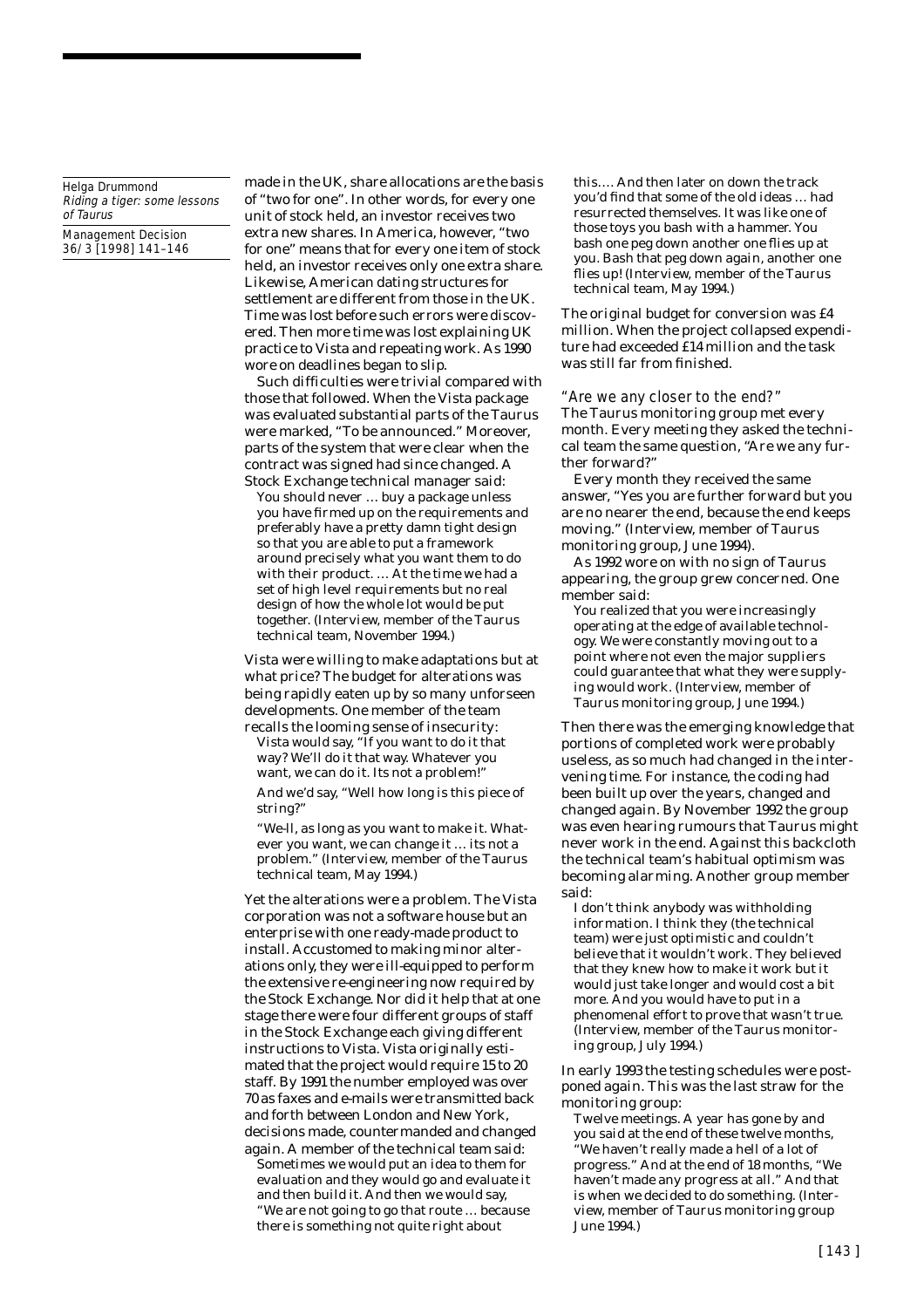| Helga Drummond               |
|------------------------------|
| Riding a tiger: some lessons |
| of Taurus                    |
| Management Decision          |
| 36/3 [1998] 141-146          |

made in the UK, share allocations are the basis of "two for one". In other words, for every one unit of stock held, an investor receives two extra new shares. In America, however, "two for one" means that for every one item of stock held, an investor receives only one extra share. Likewise, American dating structures for settlement are different from those in the UK. Time was lost before such errors were discovered. Then more time was lost explaining UK practice to Vista and repeating work. As 1990 wore on deadlines began to slip.

Such difficulties were trivial compared with those that followed. When the Vista package was evaluated substantial parts of the Taurus were marked, "To be announced." Moreover, parts of the system that were clear when the contract was signed had since changed. A Stock Exchange technical manager said:

You should never … buy a package unless you have firmed up on the requirements and preferably have a pretty damn tight design so that you are able to put a framework around precisely what you want them to do with their product. … At the time we had a set of high level requirements but no real design of how the whole lot would be put together. (Interview, member of the Taurus technical team, November 1994.)

Vista were willing to make adaptations but at what price? The budget for alterations was being rapidly eaten up by so many unforseen developments. One member of the team recalls the looming sense of insecurity:

Vista would say, "If you want to do it that way? We'll do it that way. Whatever you want, we can do it. Its not a problem!"

And we'd say, "Well how long is this piece of string?"

"We-ll, as long as you want to make it. Whatever you want, we can change it … its not a problem." (Interview, member of the Taurus technical team, May 1994.)

Yet the alterations were a problem. The Vista corporation was not a software house but an enterprise with one ready-made product to install. Accustomed to making minor alterations only, they were ill-equipped to perform the extensive re-engineering now required by the Stock Exchange. Nor did it help that at one stage there were four different groups of staff in the Stock Exchange each giving different instructions to Vista. Vista originally estimated that the project would require 15 to 20 staff. By 1991 the number employed was over 70 as faxes and e-mails were transmitted back and forth between London and New York, decisions made, countermanded and changed again. A member of the technical team said:

Sometimes we would put an idea to them for evaluation and they would go and evaluate it and then build it. And then we would say, "We are not going to go that route … because there is something not quite right about

this…. And then later on down the track you'd find that some of the old ideas … had resurrected themselves. It was like one of those toys you bash with a hammer. You bash one peg down another one flies up at you. Bash that peg down again, another one flies up! (Interview, member of the Taurus technical team, May 1994.)

The original budget for conversion was £4 million. When the project collapsed expenditure had exceeded £14 million and the task was still far from finished.

#### "Are we any closer to the end?"

The Taurus monitoring group met every month. Every meeting they asked the technical team the same question, "Are we any further forward?"

Every month they received the same answer, "Yes you are further forward but you are no nearer the end, because the end keeps moving." (Interview, member of Taurus monitoring group, June 1994).

As 1992 wore on with no sign of Taurus appearing, the group grew concerned. One member said:

You realized that you were increasingly operating at the edge of available technology. We were constantly moving out to a point where not even the major suppliers could guarantee that what they were supplying would work. (Interview, member of Taurus monitoring group, June 1994.)

Then there was the emerging knowledge that portions of completed work were probably useless, as so much had changed in the intervening time. For instance, the coding had been built up over the years, changed and changed again. By November 1992 the group was even hearing rumours that Taurus might never work in the end. Against this backcloth the technical team's habitual optimism was becoming alarming. Another group member said:

I don't think anybody was withholding information. I think they (the technical team) were just optimistic and couldn't believe that it wouldn't work. They believed that they knew how to make it work but it would just take longer and would cost a bit more. And you would have to put in a phenomenal effort to prove that wasn't true. (Interview, member of the Taurus monitoring group, July 1994.)

In early 1993 the testing schedules were postponed again. This was the last straw for the monitoring group:

Twelve meetings. A year has gone by and you said at the end of these twelve months, "We haven't really made a hell of a lot of progress." And at the end of 18 months, "We haven't made any progress at all." And that is when we decided to do something. (Interview, member of Taurus monitoring group June 1994.)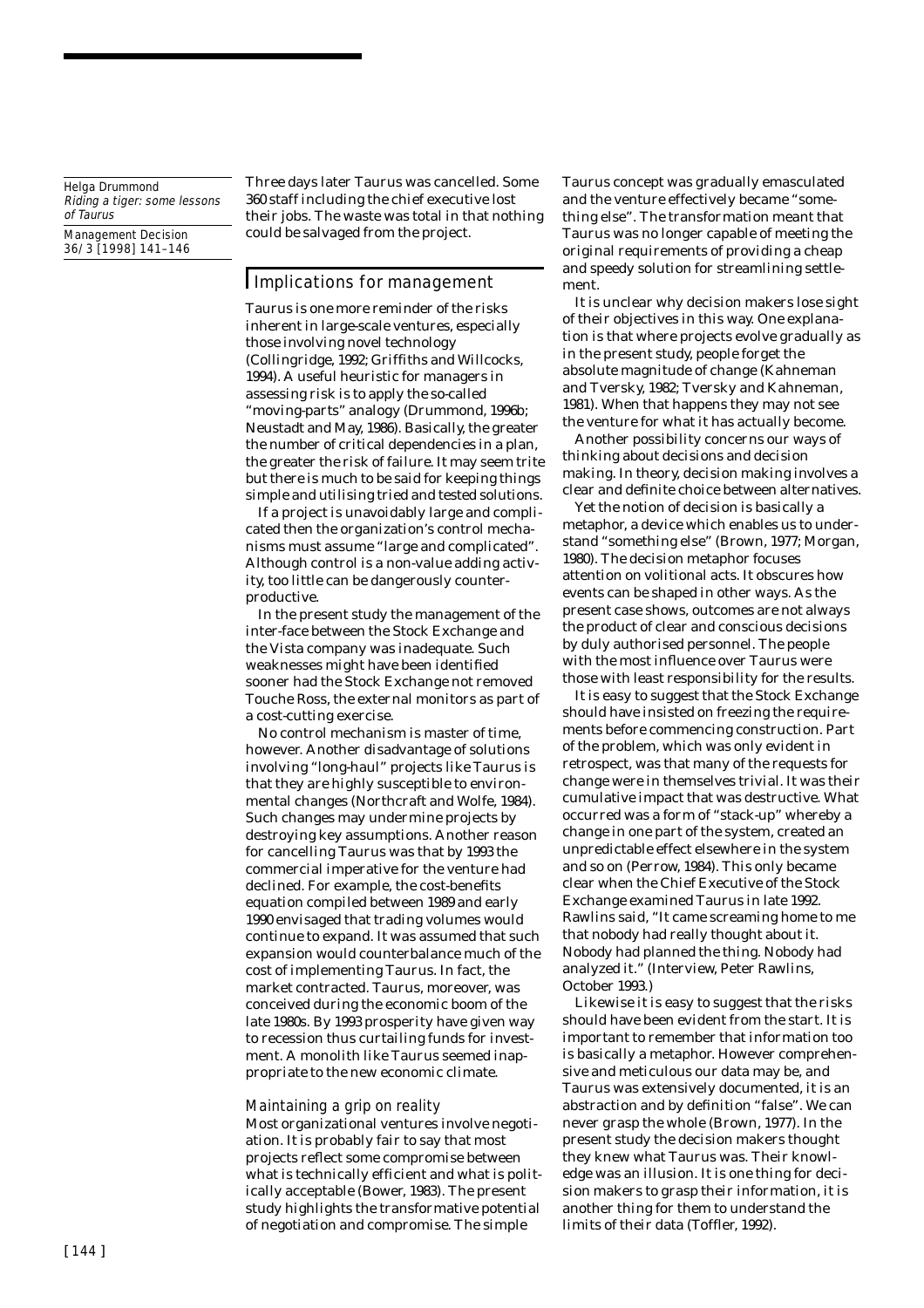Helga Drummond Riding a tiger: some lessons of Taurus Management Decision

36/3 [1998] 141–146

Three days later Taurus was cancelled. Some 360 staff including the chief executive lost their jobs. The waste was total in that nothing could be salvaged from the project.

## Implications for management

Taurus is one more reminder of the risks inherent in large-scale ventures, especially those involving novel technology (Collingridge, 1992; Griffiths and Willcocks, 1994). A useful heuristic for managers in assessing risk is to apply the so-called "moving-parts" analogy (Drummond, 1996b; Neustadt and May, 1986). Basically, the greater the number of critical dependencies in a plan, the greater the risk of failure. It may seem trite but there is much to be said for keeping things simple and utilising tried and tested solutions.

If a project is unavoidably large and complicated then the organization's control mechanisms must assume "large and complicated". Although control is a non-value adding activity, too little can be dangerously counterproductive.

In the present study the management of the inter-face between the Stock Exchange and the Vista company was inadequate. Such weaknesses might have been identified sooner had the Stock Exchange not removed Touche Ross, the external monitors as part of a cost-cutting exercise.

No control mechanism is master of time, however. Another disadvantage of solutions involving "long-haul" projects like Taurus is that they are highly susceptible to environmental changes (Northcraft and Wolfe, 1984). Such changes may undermine projects by destroying key assumptions. Another reason for cancelling Taurus was that by 1993 the commercial imperative for the venture had declined. For example, the cost-benefits equation compiled between 1989 and early 1990 envisaged that trading volumes would continue to expand. It was assumed that such expansion would counterbalance much of the cost of implementing Taurus. In fact, the market contracted. Taurus, moreover, was conceived during the economic boom of the late 1980s. By 1993 prosperity have given way to recession thus curtailing funds for investment. A monolith like Taurus seemed inappropriate to the new economic climate.

#### Maintaining a grip on reality

Most organizational ventures involve negotiation. It is probably fair to say that most projects reflect some compromise between what is technically efficient and what is politically acceptable (Bower, 1983). The present study highlights the transformative potential of negotiation and compromise. The simple

Taurus concept was gradually emasculated and the venture effectively became "something else". The transformation meant that Taurus was no longer capable of meeting the original requirements of providing a cheap and speedy solution for streamlining settlement.

It is unclear why decision makers lose sight of their objectives in this way. One explanation is that where projects evolve gradually as in the present study, people forget the absolute magnitude of change (Kahneman and Tversky, 1982; Tversky and Kahneman, 1981). When that happens they may not see the venture for what it has actually become.

Another possibility concerns our ways of thinking about decisions and decision making. In theory, decision making involves a clear and definite choice between alternatives.

Yet the notion of decision is basically a metaphor, a device which enables us to understand "something else" (Brown, 1977; Morgan, 1980). The decision metaphor focuses attention on volitional acts. It obscures how events can be shaped in other ways. As the present case shows, outcomes are not always the product of clear and conscious decisions by duly authorised personnel. The people with the most influence over Taurus were those with least responsibility for the results.

It is easy to suggest that the Stock Exchange should have insisted on freezing the requirements before commencing construction. Part of the problem, which was only evident in retrospect, was that many of the requests for change were in themselves trivial. It was their cumulative impact that was destructive. What occurred was a form of "stack-up" whereby a change in one part of the system, created an unpredictable effect elsewhere in the system and so on (Perrow, 1984). This only became clear when the Chief Executive of the Stock Exchange examined Taurus in late 1992. Rawlins said, "It came screaming home to me that nobody had really thought about it. Nobody had planned the thing. Nobody had analyzed it." (Interview, Peter Rawlins, October 1993.)

Likewise it is easy to suggest that the risks should have been evident from the start. It is important to remember that information too is basically a metaphor. However comprehensive and meticulous our data may be, and Taurus was extensively documented, it is an abstraction and by definition "false". We can never grasp the whole (Brown, 1977). In the present study the decision makers thought they knew what Taurus was. Their knowledge was an illusion. It is one thing for decision makers to grasp their information, it is another thing for them to understand the limits of their data (Toffler, 1992).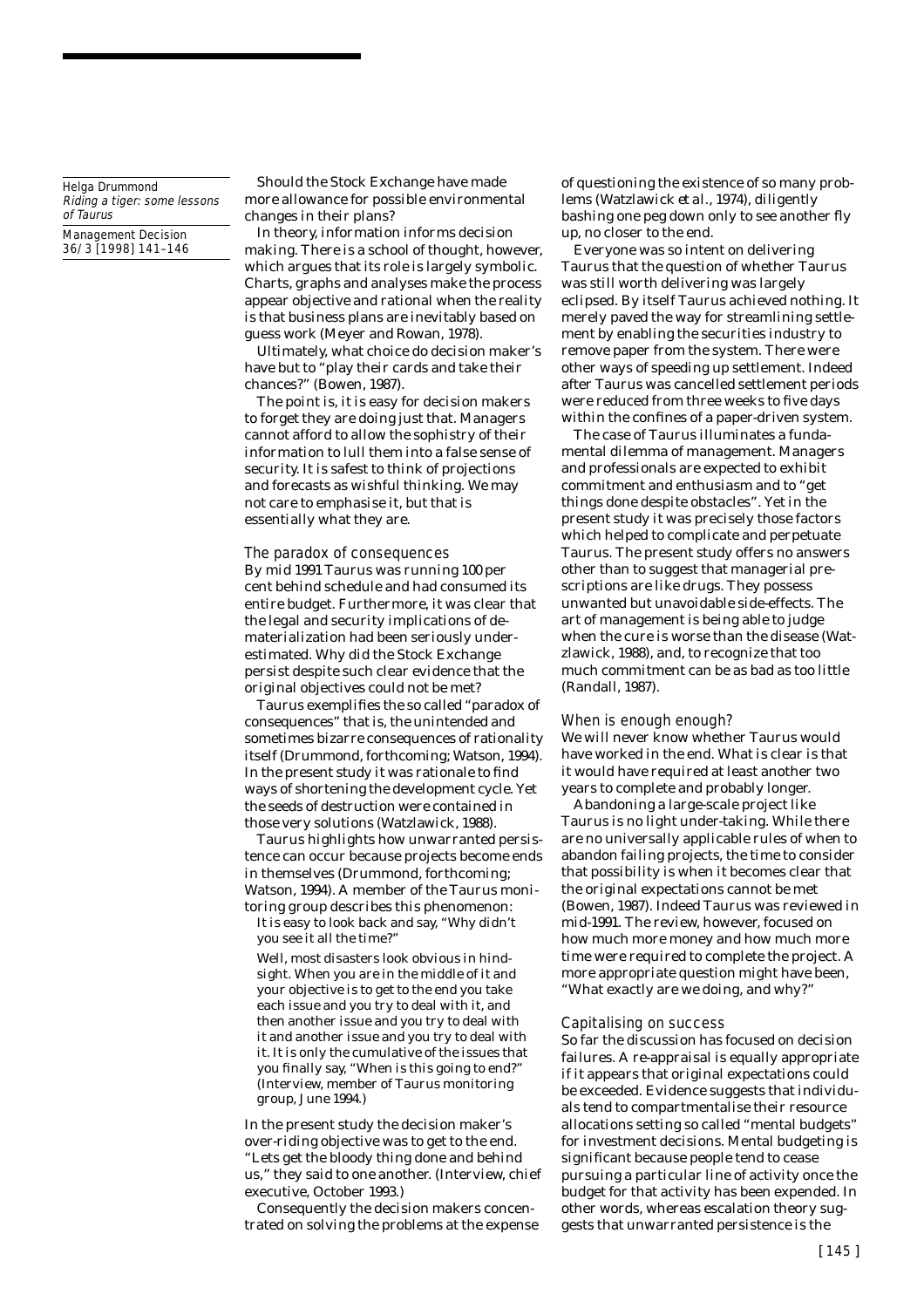| Helga Drummond               |
|------------------------------|
| Riding a tiger: some lessons |
| of Taurus                    |
| Management Decision          |
| 36/3 [1998] 141-146          |

Should the Stock Exchange have made more allowance for possible environmental changes in their plans?

In theory, information informs decision making. There is a school of thought, however, which argues that its role is largely symbolic. Charts, graphs and analyses make the process appear objective and rational when the reality is that business plans are inevitably based on guess work (Meyer and Rowan, 1978).

Ultimately, what choice do decision maker's have but to "play their cards and take their chances?" (Bowen, 1987).

The point is, it is easy for decision makers to forget they are doing just that. Managers cannot afford to allow the sophistry of their information to lull them into a false sense of security. It is safest to think of projections and forecasts as wishful thinking. We may not care to emphasise it, but that is essentially what they are.

#### The paradox of consequences

By mid 1991 Taurus was running 100 per cent behind schedule and had consumed its entire budget. Furthermore, it was clear that the legal and security implications of dematerialization had been seriously underestimated. Why did the Stock Exchange persist despite such clear evidence that the original objectives could not be met?

Taurus exemplifies the so called "paradox of consequences" that is, the unintended and sometimes bizarre consequences of rationality itself (Drummond, forthcoming; Watson, 1994). In the present study it was rationale to find ways of shortening the development cycle. Yet the seeds of destruction were contained in those very solutions (Watzlawick, 1988).

Taurus highlights how unwarranted persistence can occur because projects become ends in themselves (Drummond, forthcoming; Watson, 1994). A member of the Taurus monitoring group describes this phenomenon:

It is easy to look back and say, "Why didn't you see it all the time?"

Well, most disasters look obvious in hindsight. When you are in the middle of it and your objective is to get to the end you take each issue and you try to deal with it, and then another issue and you try to deal with it and another issue and you try to deal with it. It is only the cumulative of the issues that you finally say, "When is this going to end?" (Interview, member of Taurus monitoring group, June 1994.)

In the present study the decision maker's over-riding objective was to get to the end. "Lets get the bloody thing done and behind us," they said to one another. (Interview, chief executive, October 1993.)

Consequently the decision makers concentrated on solving the problems at the expense of questioning the existence of so many problems (Watzlawick *et al*., 1974), diligently bashing one peg down only to see another fly up, no closer to the end.

Everyone was so intent on delivering Taurus that the question of whether Taurus was still worth delivering was largely eclipsed. By itself Taurus achieved nothing. It merely paved the way for streamlining settlement by enabling the securities industry to remove paper from the system. There were other ways of speeding up settlement. Indeed after Taurus was cancelled settlement periods were reduced from three weeks to five days within the confines of a paper-driven system.

The case of Taurus illuminates a fundamental dilemma of management. Managers and professionals are expected to exhibit commitment and enthusiasm and to "get things done despite obstacles". Yet in the present study it was precisely those factors which helped to complicate and perpetuate Taurus. The present study offers no answers other than to suggest that managerial prescriptions are like drugs. They possess unwanted but unavoidable side-effects. The art of management is being able to judge when the cure is worse than the disease (Watzlawick, 1988), and, to recognize that too much commitment can be as bad as too little (Randall, 1987).

#### When is enough enough?

We will never know whether Taurus would have worked in the end. What is clear is that it would have required at least another two years to complete and probably longer.

Abandoning a large-scale project like Taurus is no light under-taking. While there are no universally applicable rules of when to abandon failing projects, the time to consider that possibility is when it becomes clear that the original expectations cannot be met (Bowen, 1987). Indeed Taurus was reviewed in mid-1991. The review, however, focused on how much more money and how much more time were required to complete the project. A more appropriate question might have been, "What exactly are we doing, and why?"

#### Capitalising on success

So far the discussion has focused on decision failures. A re-appraisal is equally appropriate if it appears that original expectations could be exceeded. Evidence suggests that individuals tend to compartmentalise their resource allocations setting so called "mental budgets" for investment decisions. Mental budgeting is significant because people tend to cease pursuing a particular line of activity once the budget for that activity has been expended. In other words, whereas escalation theory suggests that unwarranted persistence is the